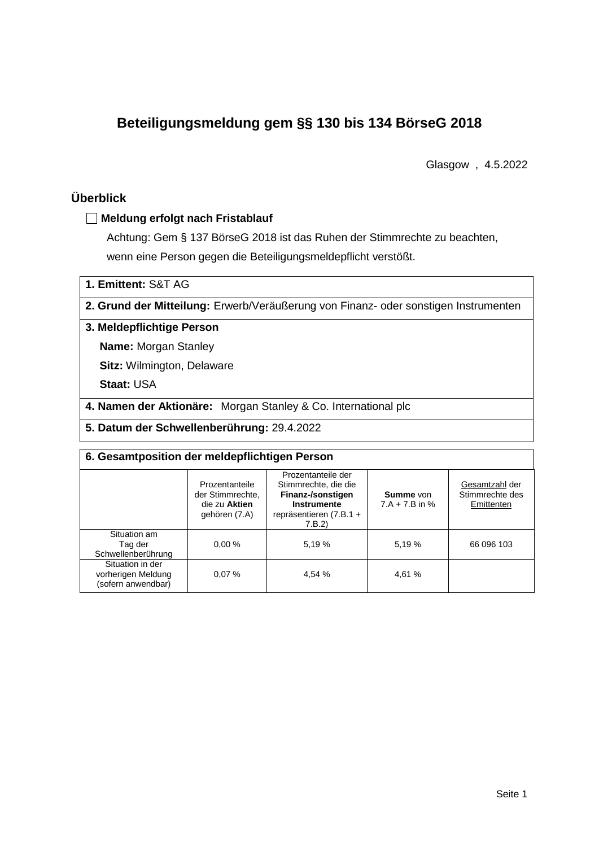# **Beteiligungsmeldung gem §§ 130 bis 134 BörseG 2018**

Glasgow , 4.5.2022

# **Überblick**

## **Meldung erfolgt nach Fristablauf**

Achtung: Gem § 137 BörseG 2018 ist das Ruhen der Stimmrechte zu beachten, wenn eine Person gegen die Beteiligungsmeldepflicht verstößt.

**1. Emittent:** S&T AG

**2. Grund der Mitteilung:** Erwerb/Veräußerung von Finanz- oder sonstigen Instrumenten

### **3. Meldepflichtige Person**

**Name:** Morgan Stanley

**Sitz:** Wilmington, Delaware

**Staat:** USA

**4. Namen der Aktionäre:** Morgan Stanley & Co. International plc

**5. Datum der Schwellenberührung:** 29.4.2022

| 6. Gesamtposition der meldepflichtigen Person                |                                                                      |                                                                                                                      |                                      |                                                 |  |  |  |
|--------------------------------------------------------------|----------------------------------------------------------------------|----------------------------------------------------------------------------------------------------------------------|--------------------------------------|-------------------------------------------------|--|--|--|
|                                                              | Prozentanteile<br>der Stimmrechte.<br>die zu Aktien<br>gehören (7.A) | Prozentanteile der<br>Stimmrechte, die die<br>Finanz-/sonstigen<br>Instrumente<br>repräsentieren $(7.B.1 +$<br>7.B.2 | <b>Summe</b> von<br>$7.A + 7.B$ in % | Gesamtzahl der<br>Stimmrechte des<br>Emittenten |  |  |  |
| Situation am<br>Tag der<br>Schwellenberührung                | 0.00%                                                                | 5.19 %                                                                                                               | 5.19 %                               | 66 096 103                                      |  |  |  |
| Situation in der<br>vorherigen Meldung<br>(sofern anwendbar) | 0.07%                                                                | 4,54 %                                                                                                               | 4,61 %                               |                                                 |  |  |  |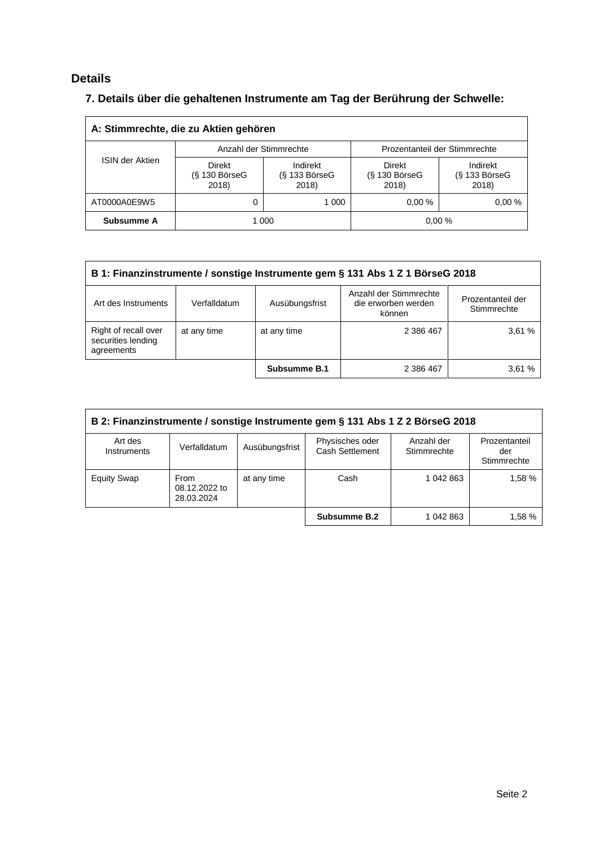# **Details**

# **7. Details über die gehaltenen Instrumente am Tag der Berührung der Schwelle:**

| A: Stimmrechte, die zu Aktien gehören |                                  |                                    |                                    |                                    |  |  |  |  |
|---------------------------------------|----------------------------------|------------------------------------|------------------------------------|------------------------------------|--|--|--|--|
|                                       |                                  | Anzahl der Stimmrechte             | Prozentanteil der Stimmrechte      |                                    |  |  |  |  |
| <b>ISIN der Aktien</b>                | Direkt<br>(§ 130 BörseG<br>2018) | Indirekt<br>(§ 133 BörseG<br>2018) | Direkt<br>$(S$ 130 BörseG<br>2018) | Indirekt<br>(§ 133 BörseG<br>2018) |  |  |  |  |
| AT0000A0E9W5                          |                                  | 1 000                              | 0.00%                              | 0.00%                              |  |  |  |  |
| Subsumme A                            | 0.00%<br>1 000                   |                                    |                                    |                                    |  |  |  |  |

| B 1: Finanzinstrumente / sonstige Instrumente gem § 131 Abs 1 Z 1 BörseG 2018                                |              |                |                                                         |                                  |  |
|--------------------------------------------------------------------------------------------------------------|--------------|----------------|---------------------------------------------------------|----------------------------------|--|
| Art des Instruments                                                                                          | Verfalldatum | Ausübungsfrist | Anzahl der Stimmrechte<br>die erworben werden<br>können | Prozentanteil der<br>Stimmrechte |  |
| 3,61%<br>Right of recall over<br>at any time<br>at any time<br>2 386 467<br>securities lending<br>agreements |              |                |                                                         |                                  |  |
|                                                                                                              |              | Subsumme B.1   | 2 386 467                                               | 3.61%                            |  |

| B 2: Finanzinstrumente / sonstige Instrumente gem § 131 Abs 1 Z 2 BörseG 2018 |                                     |                |                                    |                           |                                     |  |
|-------------------------------------------------------------------------------|-------------------------------------|----------------|------------------------------------|---------------------------|-------------------------------------|--|
| Art des<br>Instruments                                                        | Verfalldatum                        | Ausübungsfrist | Physisches oder<br>Cash Settlement | Anzahl der<br>Stimmrechte | Prozentanteil<br>der<br>Stimmrechte |  |
| <b>Equity Swap</b>                                                            | From<br>08.12.2022 to<br>28.03.2024 | at any time    | Cash                               | 1 042 863                 | 1.58 %                              |  |
|                                                                               |                                     |                | Subsumme B.2                       | 1 042 863                 | 1.58 %                              |  |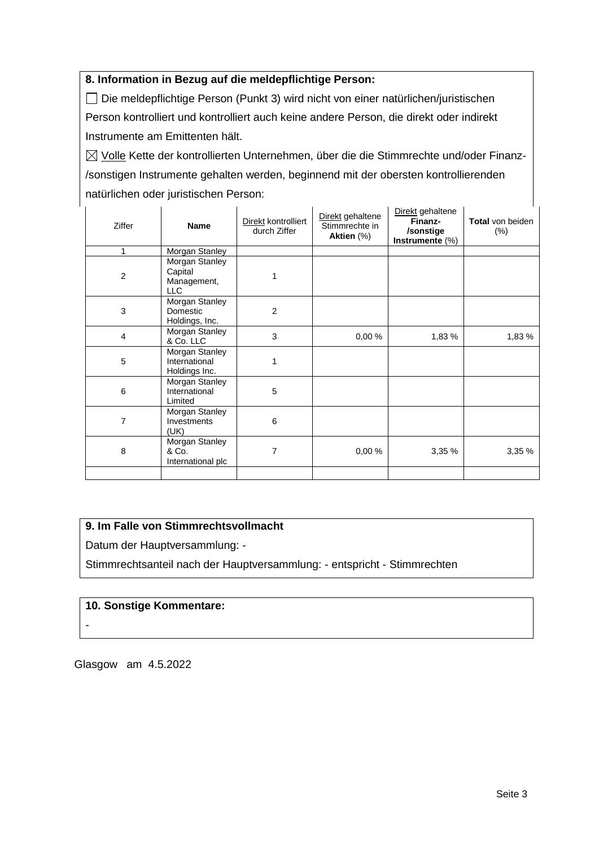## **8. Information in Bezug auf die meldepflichtige Person:**

Die meldepflichtige Person (Punkt 3) wird nicht von einer natürlichen/juristischen Person kontrolliert und kontrolliert auch keine andere Person, die direkt oder indirekt Instrumente am Emittenten hält.

 $\boxtimes$  Volle Kette der kontrollierten Unternehmen, über die die Stimmrechte und/oder Finanz-/sonstigen Instrumente gehalten werden, beginnend mit der obersten kontrollierenden natürlichen oder juristischen Person:

| Ziffer         | <b>Name</b>                                            | Direkt kontrolliert<br>durch Ziffer | Direkt gehaltene<br>Stimmrechte in<br>Aktien (%) | Direkt gehaltene<br>Finanz-<br>/sonstige<br>Instrumente (%) | <b>Total</b> von beiden<br>$(\%)$ |
|----------------|--------------------------------------------------------|-------------------------------------|--------------------------------------------------|-------------------------------------------------------------|-----------------------------------|
| 1              | Morgan Stanley                                         |                                     |                                                  |                                                             |                                   |
| $\overline{c}$ | Morgan Stanley<br>Capital<br>Management,<br><b>LLC</b> | 1                                   |                                                  |                                                             |                                   |
| 3              | Morgan Stanley<br>Domestic<br>Holdings, Inc.           | $\overline{2}$                      |                                                  |                                                             |                                   |
| $\overline{4}$ | Morgan Stanley<br>& Co. LLC                            | 3                                   | 0,00%                                            | 1,83 %                                                      | 1,83 %                            |
| 5              | Morgan Stanley<br>International<br>Holdings Inc.       | 1                                   |                                                  |                                                             |                                   |
| 6              | Morgan Stanley<br>International<br>Limited             | 5                                   |                                                  |                                                             |                                   |
| $\overline{7}$ | Morgan Stanley<br>Investments<br>(UK)                  | 6                                   |                                                  |                                                             |                                   |
| 8              | Morgan Stanley<br>& Co.<br>International plc           | 7                                   | 0,00%                                            | 3,35 %                                                      | 3,35 %                            |
|                |                                                        |                                     |                                                  |                                                             |                                   |

### **9. Im Falle von Stimmrechtsvollmacht**

Datum der Hauptversammlung: -

Stimmrechtsanteil nach der Hauptversammlung: - entspricht - Stimmrechten

#### **10. Sonstige Kommentare:**

-

Glasgow am 4.5.2022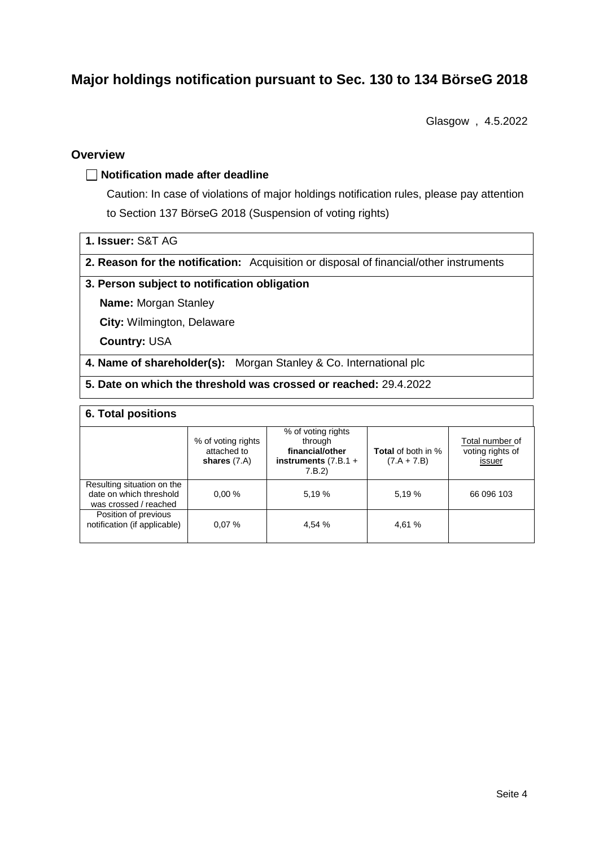# **Major holdings notification pursuant to Sec. 130 to 134 BörseG 2018**

Glasgow , 4.5.2022

### **Overview**

#### **Notification made after deadline**

Caution: In case of violations of major holdings notification rules, please pay attention to Section 137 BörseG 2018 (Suspension of voting rights)

- **1. Issuer:** S&T AG
- **2. Reason for the notification:** Acquisition or disposal of financial/other instruments

#### **3. Person subject to notification obligation**

**Name:** Morgan Stanley

**City:** Wilmington, Delaware

**Country:** USA

**4. Name of shareholder(s):** Morgan Stanley & Co. International plc

**5. Date on which the threshold was crossed or reached:** 29.4.2022

### **6. Total positions**

|                                                                                | % of voting rights<br>attached to<br>shares $(7.A)$ | % of voting rights<br>through<br>financial/other<br>instruments $(7.B.1 +$<br>7.B.2 | <b>Total</b> of both in %<br>$(7.A + 7.B)$ | Total number of<br>voting rights of<br>issuer |
|--------------------------------------------------------------------------------|-----------------------------------------------------|-------------------------------------------------------------------------------------|--------------------------------------------|-----------------------------------------------|
| Resulting situation on the<br>date on which threshold<br>was crossed / reached | 0.00%                                               | 5.19 %                                                                              | 5.19 %                                     | 66 096 103                                    |
| Position of previous<br>notification (if applicable)                           | 0.07%                                               | 4.54 %                                                                              | 4,61 %                                     |                                               |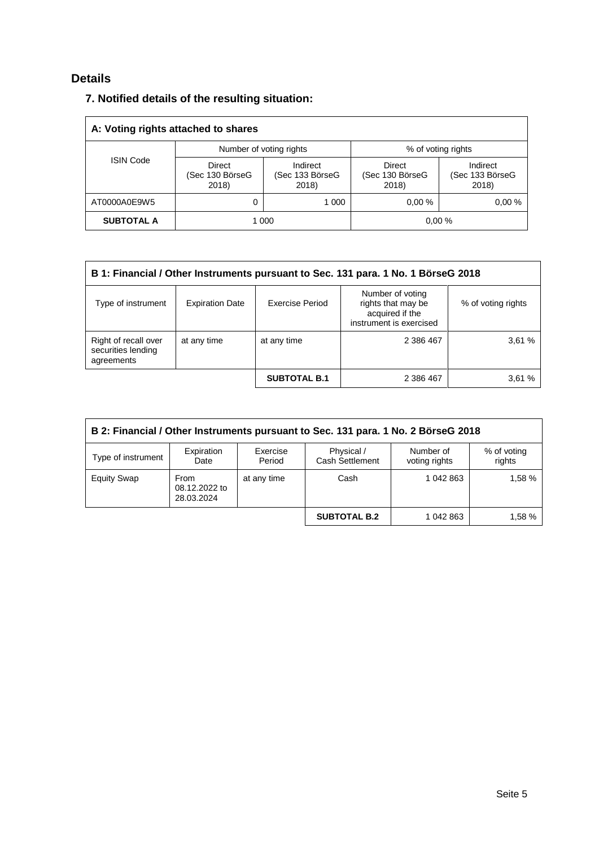# **Details**

## **7. Notified details of the resulting situation:**

| A: Voting rights attached to shares |                                    |                                      |                                    |                                      |  |  |  |
|-------------------------------------|------------------------------------|--------------------------------------|------------------------------------|--------------------------------------|--|--|--|
|                                     |                                    | Number of voting rights              | % of voting rights                 |                                      |  |  |  |
| <b>ISIN Code</b>                    | Direct<br>(Sec 130 BörseG<br>2018) | Indirect<br>(Sec 133 BörseG<br>2018) | Direct<br>(Sec 130 BörseG<br>2018) | Indirect<br>(Sec 133 BörseG<br>2018) |  |  |  |
| AT0000A0E9W5                        |                                    | 1 000                                | 0.00%                              | 0.00%                                |  |  |  |
| <b>SUBTOTAL A</b>                   |                                    | 1 000                                |                                    | 0.00%                                |  |  |  |

| B 1: Financial / Other Instruments pursuant to Sec. 131 para. 1 No. 1 BörseG 2018 |                        |                     |                                                                                      |                    |  |  |
|-----------------------------------------------------------------------------------|------------------------|---------------------|--------------------------------------------------------------------------------------|--------------------|--|--|
| Type of instrument                                                                | <b>Expiration Date</b> | Exercise Period     | Number of voting<br>rights that may be<br>acquired if the<br>instrument is exercised | % of voting rights |  |  |
| Right of recall over<br>securities lending<br>agreements                          | at any time            | at any time         | 2 386 467                                                                            | 3,61%              |  |  |
|                                                                                   |                        | <b>SUBTOTAL B.1</b> | 2 386 467                                                                            | 3,61%              |  |  |

| B 2: Financial / Other Instruments pursuant to Sec. 131 para. 1 No. 2 BörseG 2018 |                                     |                    |                                      |                            |                       |  |  |
|-----------------------------------------------------------------------------------|-------------------------------------|--------------------|--------------------------------------|----------------------------|-----------------------|--|--|
| Type of instrument                                                                | Expiration<br>Date                  | Exercise<br>Period | Physical /<br><b>Cash Settlement</b> | Number of<br>voting rights | % of voting<br>rights |  |  |
| <b>Equity Swap</b>                                                                | From<br>08.12.2022 to<br>28.03.2024 | at any time        | Cash                                 | 1 042 863                  | 1.58 %                |  |  |
|                                                                                   |                                     |                    | <b>SUBTOTAL B.2</b>                  | 1 042 863                  | 1.58%                 |  |  |